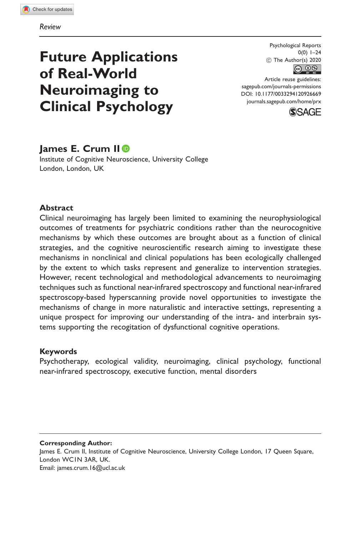# Future Applications of Real-World Neuroimaging to Clinical Psychology

Psychological Reports 0(0) 1–24  $\circled{c}$  The Author(s) 2020

Article reuse guidelines: [sagepub.com/journals-permissions](http://us.sagepub.com/en-us/journals-permissions) [DOI: 10.1177/0033294120926669](http://dx.doi.org/10.1177/0033294120926669) <journals.sagepub.com/home/prx>



# James E. Crum II

Institute of Cognitive Neuroscience, University College London, London, UK

## Abstract

Clinical neuroimaging has largely been limited to examining the neurophysiological outcomes of treatments for psychiatric conditions rather than the neurocognitive mechanisms by which these outcomes are brought about as a function of clinical strategies, and the cognitive neuroscientific research aiming to investigate these mechanisms in nonclinical and clinical populations has been ecologically challenged by the extent to which tasks represent and generalize to intervention strategies. However, recent technological and methodological advancements to neuroimaging techniques such as functional near-infrared spectroscopy and functional near-infrared spectroscopy-based hyperscanning provide novel opportunities to investigate the mechanisms of change in more naturalistic and interactive settings, representing a unique prospect for improving our understanding of the intra- and interbrain systems supporting the recogitation of dysfunctional cognitive operations.

## Keywords

Psychotherapy, ecological validity, neuroimaging, clinical psychology, functional near-infrared spectroscopy, executive function, mental disorders

#### Corresponding Author:

James E. Crum II, Institute of Cognitive Neuroscience, University College London, 17 Queen Square, London WC1N 3AR, UK. Email: [james.crum.16@ucl.ac.uk](mailto:james.crum.16@ucl.ac.uk)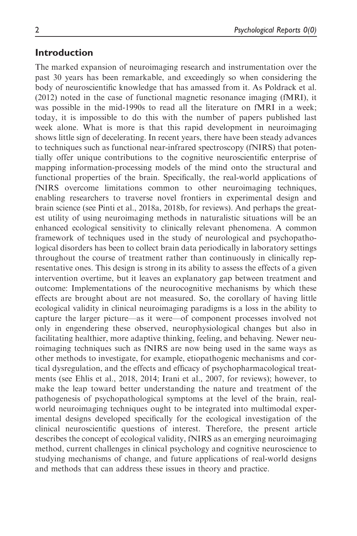## Introduction

The marked expansion of neuroimaging research and instrumentation over the past 30 years has been remarkable, and exceedingly so when considering the body of neuroscientific knowledge that has amassed from it. As Poldrack et al. (2012) noted in the case of functional magnetic resonance imaging (fMRI), it was possible in the mid-1990s to read all the literature on fMRI in a week; today, it is impossible to do this with the number of papers published last week alone. What is more is that this rapid development in neuroimaging shows little sign of decelerating. In recent years, there have been steady advances to techniques such as functional near-infrared spectroscopy (fNIRS) that potentially offer unique contributions to the cognitive neuroscientific enterprise of mapping information-processing models of the mind onto the structural and functional properties of the brain. Specifically, the real-world applications of fNIRS overcome limitations common to other neuroimaging techniques, enabling researchers to traverse novel frontiers in experimental design and brain science (see Pinti et al., 2018a, 2018b, for reviews). And perhaps the greatest utility of using neuroimaging methods in naturalistic situations will be an enhanced ecological sensitivity to clinically relevant phenomena. A common framework of techniques used in the study of neurological and psychopathological disorders has been to collect brain data periodically in laboratory settings throughout the course of treatment rather than continuously in clinically representative ones. This design is strong in its ability to assess the effects of a given intervention overtime, but it leaves an explanatory gap between treatment and outcome: Implementations of the neurocognitive mechanisms by which these effects are brought about are not measured. So, the corollary of having little ecological validity in clinical neuroimaging paradigms is a loss in the ability to capture the larger picture—as it were—of component processes involved not only in engendering these observed, neurophysiological changes but also in facilitating healthier, more adaptive thinking, feeling, and behaving. Newer neuroimaging techniques such as fNIRS are now being used in the same ways as other methods to investigate, for example, etiopathogenic mechanisms and cortical dysregulation, and the effects and efficacy of psychopharmacological treatments (see Ehlis et al., 2018, 2014; Irani et al., 2007, for reviews); however, to make the leap toward better understanding the nature and treatment of the pathogenesis of psychopathological symptoms at the level of the brain, realworld neuroimaging techniques ought to be integrated into multimodal experimental designs developed specifically for the ecological investigation of the clinical neuroscientific questions of interest. Therefore, the present article describes the concept of ecological validity, fNIRS as an emerging neuroimaging method, current challenges in clinical psychology and cognitive neuroscience to studying mechanisms of change, and future applications of real-world designs and methods that can address these issues in theory and practice.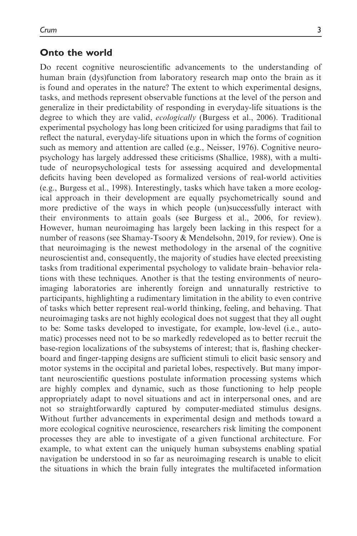## Onto the world

Do recent cognitive neuroscientific advancements to the understanding of <u>Crum 3</u>

human brain (dys)function from laboratory research map onto the brain as it is found and operates in the nature? The extent to which experimental designs, tasks, and methods represent observable functions at the level of the person and generalize in their predictability of responding in everyday-life situations is the degree to which they are valid, ecologically (Burgess et al., 2006). Traditional experimental psychology has long been criticized for using paradigms that fail to reflect the natural, everyday-life situations upon in which the forms of cognition such as memory and attention are called (e.g., Neisser, 1976). Cognitive neuropsychology has largely addressed these criticisms (Shallice, 1988), with a multitude of neuropsychological tests for assessing acquired and developmental deficits having been developed as formalized versions of real-world activities (e.g., Burgess et al., 1998). Interestingly, tasks which have taken a more ecological approach in their development are equally psychometrically sound and more predictive of the ways in which people (un)successfully interact with their environments to attain goals (see Burgess et al., 2006, for review). However, human neuroimaging has largely been lacking in this respect for a number of reasons (see Shamay-Tsoory & Mendelsohn, 2019, for review). One is that neuroimaging is the newest methodology in the arsenal of the cognitive neuroscientist and, consequently, the majority of studies have elected preexisting tasks from traditional experimental psychology to validate brain–behavior relations with these techniques. Another is that the testing environments of neuroimaging laboratories are inherently foreign and unnaturally restrictive to participants, highlighting a rudimentary limitation in the ability to even contrive of tasks which better represent real-world thinking, feeling, and behaving. That neuroimaging tasks are not highly ecological does not suggest that they all ought to be: Some tasks developed to investigate, for example, low-level (i.e., automatic) processes need not to be so markedly redeveloped as to better recruit the base-region localizations of the subsystems of interest; that is, flashing checkerboard and finger-tapping designs are sufficient stimuli to elicit basic sensory and motor systems in the occipital and parietal lobes, respectively. But many important neuroscientific questions postulate information processing systems which are highly complex and dynamic, such as those functioning to help people appropriately adapt to novel situations and act in interpersonal ones, and are not so straightforwardly captured by computer-mediated stimulus designs. Without further advancements in experimental design and methods toward a more ecological cognitive neuroscience, researchers risk limiting the component processes they are able to investigate of a given functional architecture. For example, to what extent can the uniquely human subsystems enabling spatial navigation be understood in so far as neuroimaging research is unable to elicit the situations in which the brain fully integrates the multifaceted information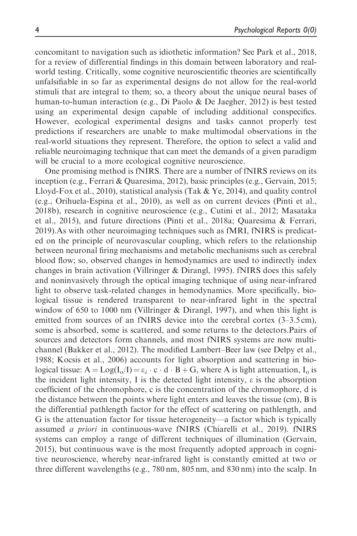concomitant to navigation such as idiothetic information? See Park et al., 2018, for a review of differential findings in this domain between laboratory and realworld testing. Critically, some cognitive neuroscientific theories are scientifically unfalsifiable in so far as experimental designs do not allow for the real-world stimuli that are integral to them; so, a theory about the unique neural bases of human-to-human interaction (e.g., Di Paolo & De Jaegher, 2012) is best tested using an experimental design capable of including additional conspecifics. However, ecological experimental designs and tasks cannot properly test predictions if researchers are unable to make multimodal observations in the real-world situations they represent. Therefore, the option to select a valid and reliable neuroimaging technique that can meet the demands of a given paradigm will be crucial to a more ecological cognitive neuroscience.

One promising method is fNIRS. There are a number of fNIRS reviews on its inception (e.g., Ferrari & Quaresima, 2012), basic principles (e.g., Gervain, 2015; Lloyd-Fox et al., 2010), statistical analysis (Tak & Ye, 2014), and quality control (e.g., Orihuela-Espina et al., 2010), as well as on current devices (Pinti et al., 2018b), research in cognitive neuroscience (e.g., Cutini et al., 2012; Masataka et al., 2015), and future directions (Pinti et al., 2018a; Quaresima & Ferrari, 2019).As with other neuroimaging techniques such as fMRI, fNIRS is predicated on the principle of neurovascular coupling, which refers to the relationship between neuronal firing mechanisms and metabolic mechanisms such as cerebral blood flow; so, observed changes in hemodynamics are used to indirectly index changes in brain activation (Villringer & Dirangl, 1995). fNIRS does this safely and noninvasively through the optical imaging technique of using near-infrared light to observe task-related changes in hemodynamics. More specifically, biological tissue is rendered transparent to near-infrared light in the spectral window of 650 to 1000 nm (Villringer & Dirangl, 1997), and when this light is emitted from sources of an fNIRS device into the cerebral cortex (3–3.5 cm), some is absorbed, some is scattered, and some returns to the detectors.Pairs of sources and detectors form channels, and most fNIRS systems are now multichannel (Bakker et al., 2012). The modified Lambert–Beer law (see Delpy et al., 1988; Kocsis et al., 2006) accounts for light absorption and scattering in biological tissue:  $A = Log(I_0/I) = \varepsilon_\lambda \cdot c \cdot d \cdot B + G$ , where A is light attenuation,  $I_0$  is the incident light intensity, I is the detected light intensity,  $\varepsilon$  is the absorption coefficient of the chromophore, c is the concentration of the chromophore, d is the distance between the points where light enters and leaves the tissue (cm), B is the differential pathlength factor for the effect of scattering on pathlength, and G is the attenuation factor for tissue heterogeneity—a factor which is typically assumed a priori in continuous-wave fNIRS (Chiarelli et al., 2019). fNIRS systems can employ a range of different techniques of illumination (Gervain, 2015), but continuous wave is the most frequently adopted approach in cognitive neuroscience, whereby near-infrared light is constantly emitted at two or three different wavelengths (e.g., 780 nm, 805 nm, and 830 nm) into the scalp. In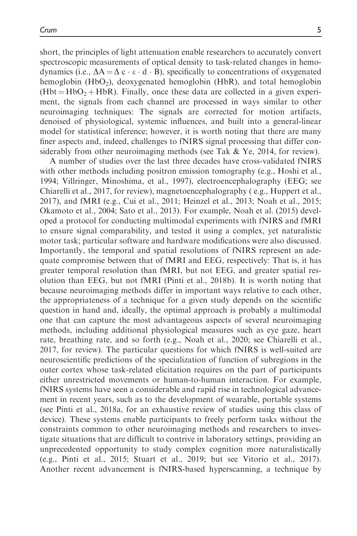short, the principles of light attenuation enable researchers to accurately convert spectroscopic measurements of optical density to task-related changes in hemodynamics (i.e.,  $\Delta A = \Delta c \cdot \varepsilon \cdot d \cdot B$ ), specifically to concentrations of oxygenated hemoglobin  $(HbO<sub>2</sub>)$ , deoxygenated hemoglobin  $(HbR)$ , and total hemoglobin  $(Hbt = HbO<sub>2</sub> + HbR)$ . Finally, once these data are collected in a given experiment, the signals from each channel are processed in ways similar to other neuroimaging techniques: The signals are corrected for motion artifacts, denoised of physiological, systemic influences, and built into a general-linear model for statistical inference; however, it is worth noting that there are many finer aspects and, indeed, challenges to fNIRS signal processing that differ considerably from other neuroimaging methods (see Tak  $\&$  Ye, 2014, for review).

A number of studies over the last three decades have cross-validated fNIRS with other methods including positron emission tomography (e.g., Hoshi et al., 1994; Villringer, Minoshima, et al., 1997), electroencephalography (EEG; see Chiarelli et al., 2017, for review), magnetoencephalography ( e.g., Huppert et al., 2017), and fMRI (e.g., Cui et al., 2011; Heinzel et al., 2013; Noah et al., 2015; Okamoto et al., 2004; Sato et al., 2013). For example, Noah et al. (2015) developed a protocol for conducting multimodal experiments with fNIRS and fMRI to ensure signal comparability, and tested it using a complex, yet naturalistic motor task; particular software and hardware modifications were also discussed. Importantly, the temporal and spatial resolutions of fNIRS represent an adequate compromise between that of fMRI and EEG, respectively: That is, it has greater temporal resolution than fMRI, but not EEG, and greater spatial resolution than EEG, but not fMRI (Pinti et al., 2018b). It is worth noting that because neuroimaging methods differ in important ways relative to each other, the appropriateness of a technique for a given study depends on the scientific question in hand and, ideally, the optimal approach is probably a multimodal one that can capture the most advantageous aspects of several neuroimaging methods, including additional physiological measures such as eye gaze, heart rate, breathing rate, and so forth (e.g., Noah et al., 2020; see Chiarelli et al., 2017, for review). The particular questions for which fNIRS is well-suited are neuroscientific predictions of the specialization of function of subregions in the outer cortex whose task-related elicitation requires on the part of participants either unrestricted movements or human-to-human interaction. For example, fNIRS systems have seen a considerable and rapid rise in technological advancement in recent years, such as to the development of wearable, portable systems (see Pinti et al., 2018a, for an exhaustive review of studies using this class of device). These systems enable participants to freely perform tasks without the constraints common to other neuroimaging methods and researchers to investigate situations that are difficult to contrive in laboratory settings, providing an unprecedented opportunity to study complex cognition more naturalistically (e.g., Pinti et al., 2015; Stuart et al., 2019; but see Vitorio et al., 2017). Another recent advancement is fNIRS-based hyperscanning, a technique by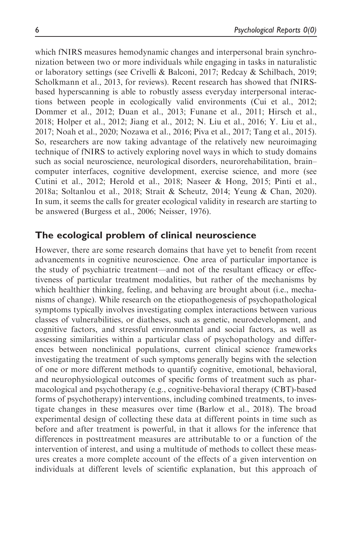which fNIRS measures hemodynamic changes and interpersonal brain synchronization between two or more individuals while engaging in tasks in naturalistic or laboratory settings (see Crivelli & Balconi, 2017; Redcay & Schilbach, 2019; Scholkmann et al., 2013, for reviews). Recent research has showed that fNIRSbased hyperscanning is able to robustly assess everyday interpersonal interactions between people in ecologically valid environments (Cui et al., 2012; Dommer et al., 2012; Duan et al., 2013; Funane et al., 2011; Hirsch et al., 2018; Holper et al., 2012; Jiang et al., 2012; N. Liu et al., 2016; Y. Liu et al., 2017; Noah et al., 2020; Nozawa et al., 2016; Piva et al., 2017; Tang et al., 2015). So, researchers are now taking advantage of the relatively new neuroimaging technique of fNIRS to actively exploring novel ways in which to study domains such as social neuroscience, neurological disorders, neurorehabilitation, brain– computer interfaces, cognitive development, exercise science, and more (see Cutini et al., 2012; Herold et al., 2018; Naseer & Hong, 2015; Pinti et al., 2018a; Soltanlou et al., 2018; Strait & Scheutz, 2014; Yeung & Chan, 2020). In sum, it seems the calls for greater ecological validity in research are starting to be answered (Burgess et al., 2006; Neisser, 1976).

# The ecological problem of clinical neuroscience

However, there are some research domains that have yet to benefit from recent advancements in cognitive neuroscience. One area of particular importance is the study of psychiatric treatment—and not of the resultant efficacy or effectiveness of particular treatment modalities, but rather of the mechanisms by which healthier thinking, feeling, and behaving are brought about (i.e., mechanisms of change). While research on the etiopathogenesis of psychopathological symptoms typically involves investigating complex interactions between various classes of vulnerabilities, or diatheses, such as genetic, neurodevelopment, and cognitive factors, and stressful environmental and social factors, as well as assessing similarities within a particular class of psychopathology and differences between nonclinical populations, current clinical science frameworks investigating the treatment of such symptoms generally begins with the selection of one or more different methods to quantify cognitive, emotional, behavioral, and neurophysiological outcomes of specific forms of treatment such as pharmacological and psychotherapy (e.g., cognitive-behavioral therapy (CBT)-based forms of psychotherapy) interventions, including combined treatments, to investigate changes in these measures over time (Barlow et al., 2018). The broad experimental design of collecting these data at different points in time such as before and after treatment is powerful, in that it allows for the inference that differences in posttreatment measures are attributable to or a function of the intervention of interest, and using a multitude of methods to collect these measures creates a more complete account of the effects of a given intervention on individuals at different levels of scientific explanation, but this approach of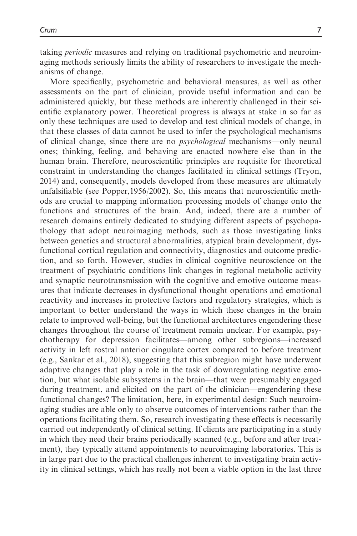taking periodic measures and relying on traditional psychometric and neuroimaging methods seriously limits the ability of researchers to investigate the mechanisms of change.

More specifically, psychometric and behavioral measures, as well as other assessments on the part of clinician, provide useful information and can be administered quickly, but these methods are inherently challenged in their scientific explanatory power. Theoretical progress is always at stake in so far as only these techniques are used to develop and test clinical models of change, in that these classes of data cannot be used to infer the psychological mechanisms of clinical change, since there are no psychological mechanisms—only neural ones; thinking, feeling, and behaving are enacted nowhere else than in the human brain. Therefore, neuroscientific principles are requisite for theoretical constraint in understanding the changes facilitated in clinical settings (Tryon, 2014) and, consequently, models developed from these measures are ultimately unfalsifiable (see Popper,1956/2002). So, this means that neuroscientific methods are crucial to mapping information processing models of change onto the functions and structures of the brain. And, indeed, there are a number of research domains entirely dedicated to studying different aspects of psychopathology that adopt neuroimaging methods, such as those investigating links between genetics and structural abnormalities, atypical brain development, dysfunctional cortical regulation and connectivity, diagnostics and outcome prediction, and so forth. However, studies in clinical cognitive neuroscience on the treatment of psychiatric conditions link changes in regional metabolic activity and synaptic neurotransmission with the cognitive and emotive outcome measures that indicate decreases in dysfunctional thought operations and emotional reactivity and increases in protective factors and regulatory strategies, which is important to better understand the ways in which these changes in the brain relate to improved well-being, but the functional architectures engendering these changes throughout the course of treatment remain unclear. For example, psychotherapy for depression facilitates—among other subregions—increased activity in left rostral anterior cingulate cortex compared to before treatment (e.g., Sankar et al., 2018), suggesting that this subregion might have underwent adaptive changes that play a role in the task of downregulating negative emotion, but what isolable subsystems in the brain—that were presumably engaged during treatment, and elicited on the part of the clinician—engendering these functional changes? The limitation, here, in experimental design: Such neuroimaging studies are able only to observe outcomes of interventions rather than the operations facilitating them. So, research investigating these effects is necessarily carried out independently of clinical setting. If clients are participating in a study in which they need their brains periodically scanned (e.g., before and after treatment), they typically attend appointments to neuroimaging laboratories. This is in large part due to the practical challenges inherent to investigating brain activity in clinical settings, which has really not been a viable option in the last three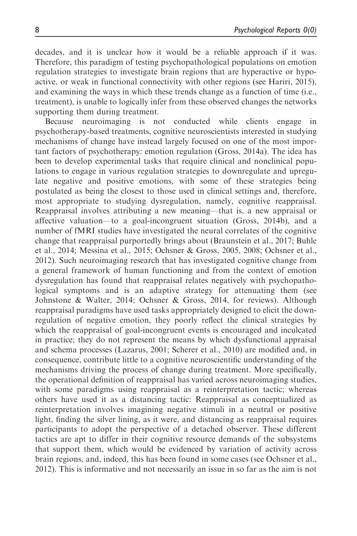decades, and it is unclear how it would be a reliable approach if it was. Therefore, this paradigm of testing psychopathological populations on emotion regulation strategies to investigate brain regions that are hyperactive or hypoactive, or weak in functional connectivity with other regions (see Hariri, 2015), and examining the ways in which these trends change as a function of time (i.e., treatment), is unable to logically infer from these observed changes the networks supporting them during treatment.

Because neuroimaging is not conducted while clients engage in psychotherapy-based treatments, cognitive neuroscientists interested in studying mechanisms of change have instead largely focused on one of the most important factors of psychotherapy: emotion regulation (Gross, 2014a). The idea has been to develop experimental tasks that require clinical and nonclinical populations to engage in various regulation strategies to downregulate and upregulate negative and positive emotions, with some of these strategies being postulated as being the closest to those used in clinical settings and, therefore, most appropriate to studying dysregulation, namely, cognitive reappraisal. Reappraisal involves attributing a new meaning—that is, a new appraisal or affective valuation—to a goal-incongruent situation (Gross, 2014b), and a number of fMRI studies have investigated the neural correlates of the cognitive change that reappraisal purportedly brings about (Braunstein et al., 2017; Buhle et al., 2014; Messina et al., 2015; Ochsner & Gross, 2005, 2008; Ochsner et al., 2012). Such neuroimaging research that has investigated cognitive change from a general framework of human functioning and from the context of emotion dysregulation has found that reappraisal relates negatively with psychopathological symptoms and is an adaptive strategy for attenuating them (see Johnstone & Walter, 2014; Ochsner & Gross, 2014, for reviews). Although reappraisal paradigms have used tasks appropriately designed to elicit the downregulation of negative emotion, they poorly reflect the clinical strategies by which the reappraisal of goal-incongruent events is encouraged and inculcated in practice; they do not represent the means by which dysfunctional appraisal and schema processes (Lazarus, 2001; Scherer et al., 2010) are modified and, in consequence, contribute little to a cognitive neuroscientific understanding of the mechanisms driving the process of change during treatment. More specifically, the operational definition of reappraisal has varied across neuroimaging studies, with some paradigms using reappraisal as a reinterpretation tactic; whereas others have used it as a distancing tactic: Reappraisal as conceptualized as reinterpretation involves imagining negative stimuli in a neutral or positive light, finding the silver lining, as it were, and distancing as reappraisal requires participants to adopt the perspective of a detached observer. These different tactics are apt to differ in their cognitive resource demands of the subsystems that support them, which would be evidenced by variation of activity across brain regions, and, indeed, this has been found in some cases (see Ochsner et al., 2012). This is informative and not necessarily an issue in so far as the aim is not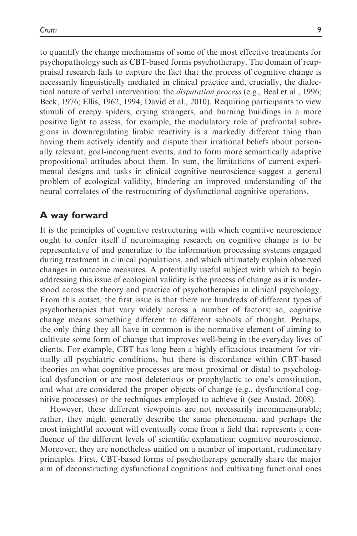to quantify the change mechanisms of some of the most effective treatments for psychopathology such as CBT-based forms psychotherapy. The domain of reappraisal research fails to capture the fact that the process of cognitive change is necessarily linguistically mediated in clinical practice and, crucially, the dialectical nature of verbal intervention: the *disputation process* (e.g., Beal et al., 1996; Beck, 1976; Ellis, 1962, 1994; David et al., 2010). Requiring participants to view stimuli of creepy spiders, crying strangers, and burning buildings in a more positive light to assess, for example, the modulatory role of prefrontal subregions in downregulating limbic reactivity is a markedly different thing than having them actively identify and dispute their irrational beliefs about personally relevant, goal-incongruent events, and to form more semantically adaptive propositional attitudes about them. In sum, the limitations of current experimental designs and tasks in clinical cognitive neuroscience suggest a general problem of ecological validity, hindering an improved understanding of the neural correlates of the restructuring of dysfunctional cognitive operations.

# A way forward

It is the principles of cognitive restructuring with which cognitive neuroscience ought to confer itself if neuroimaging research on cognitive change is to be representative of and generalize to the information processing systems engaged during treatment in clinical populations, and which ultimately explain observed changes in outcome measures. A potentially useful subject with which to begin addressing this issue of ecological validity is the process of change as it is understood across the theory and practice of psychotherapies in clinical psychology. From this outset, the first issue is that there are hundreds of different types of psychotherapies that vary widely across a number of factors; so, cognitive change means something different to different schools of thought. Perhaps, the only thing they all have in common is the normative element of aiming to cultivate some form of change that improves well-being in the everyday lives of clients. For example, CBT has long been a highly efficacious treatment for virtually all psychiatric conditions, but there is discordance within CBT-based theories on what cognitive processes are most proximal or distal to psychological dysfunction or are most deleterious or prophylactic to one's constitution, and what are considered the proper objects of change (e.g., dysfunctional cognitive processes) or the techniques employed to achieve it (see Austad, 2008).

However, these different viewpoints are not necessarily incommensurable; rather, they might generally describe the same phenomena, and perhaps the most insightful account will eventually come from a field that represents a confluence of the different levels of scientific explanation: cognitive neuroscience. Moreover, they are nonetheless unified on a number of important, rudimentary principles. First, CBT-based forms of psychotherapy generally share the major aim of deconstructing dysfunctional cognitions and cultivating functional ones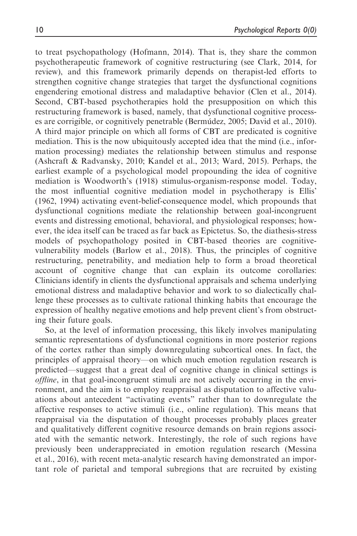to treat psychopathology (Hofmann, 2014). That is, they share the common psychotherapeutic framework of cognitive restructuring (see Clark, 2014, for review), and this framework primarily depends on therapist-led efforts to strengthen cognitive change strategies that target the dysfunctional cognitions engendering emotional distress and maladaptive behavior (Clen et al., 2014). Second, CBT-based psychotherapies hold the presupposition on which this restructuring framework is based, namely, that dysfunctional cognitive processes are corrigible, or cognitively penetrable (Bermúdez, 2005; David et al., 2010). A third major principle on which all forms of CBT are predicated is cognitive mediation. This is the now ubiquitously accepted idea that the mind (i.e., information processing) mediates the relationship between stimulus and response (Ashcraft & Radvansky, 2010; Kandel et al., 2013; Ward, 2015). Perhaps, the earliest example of a psychological model propounding the idea of cognitive mediation is Woodworth's (1918) stimulus-organism-response model. Today, the most influential cognitive mediation model in psychotherapy is Ellis' (1962, 1994) activating event-belief-consequence model, which propounds that dysfunctional cognitions mediate the relationship between goal-incongruent events and distressing emotional, behavioral, and physiological responses; however, the idea itself can be traced as far back as Epictetus. So, the diathesis-stress models of psychopathology posited in CBT-based theories are cognitivevulnerability models (Barlow et al., 2018). Thus, the principles of cognitive restructuring, penetrability, and mediation help to form a broad theoretical account of cognitive change that can explain its outcome corollaries: Clinicians identify in clients the dysfunctional appraisals and schema underlying emotional distress and maladaptive behavior and work to so dialectically challenge these processes as to cultivate rational thinking habits that encourage the expression of healthy negative emotions and help prevent client's from obstructing their future goals.

So, at the level of information processing, this likely involves manipulating semantic representations of dysfunctional cognitions in more posterior regions of the cortex rather than simply downregulating subcortical ones. In fact, the principles of appraisal theory—on which much emotion regulation research is predicted—suggest that a great deal of cognitive change in clinical settings is offline, in that goal-incongruent stimuli are not actively occurring in the environment, and the aim is to employ reappraisal as disputation to affective valuations about antecedent "activating events" rather than to downregulate the affective responses to active stimuli (i.e., online regulation). This means that reappraisal via the disputation of thought processes probably places greater and qualitatively different cognitive resource demands on brain regions associated with the semantic network. Interestingly, the role of such regions have previously been underappreciated in emotion regulation research (Messina et al., 2016), with recent meta-analytic research having demonstrated an important role of parietal and temporal subregions that are recruited by existing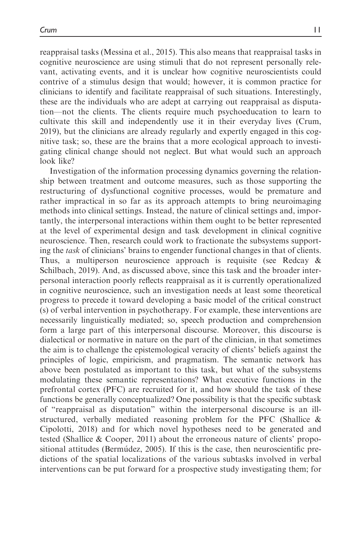reappraisal tasks (Messina et al., 2015). This also means that reappraisal tasks in cognitive neuroscience are using stimuli that do not represent personally relevant, activating events, and it is unclear how cognitive neuroscientists could contrive of a stimulus design that would; however, it is common practice for clinicians to identify and facilitate reappraisal of such situations. Interestingly, these are the individuals who are adept at carrying out reappraisal as disputation—not the clients. The clients require much psychoeducation to learn to cultivate this skill and independently use it in their everyday lives (Crum, 2019), but the clinicians are already regularly and expertly engaged in this cognitive task; so, these are the brains that a more ecological approach to investigating clinical change should not neglect. But what would such an approach look like?

Investigation of the information processing dynamics governing the relationship between treatment and outcome measures, such as those supporting the restructuring of dysfunctional cognitive processes, would be premature and rather impractical in so far as its approach attempts to bring neuroimaging methods into clinical settings. Instead, the nature of clinical settings and, importantly, the interpersonal interactions within them ought to be better represented at the level of experimental design and task development in clinical cognitive neuroscience. Then, research could work to fractionate the subsystems supporting the task of clinicians' brains to engender functional changes in that of clients. Thus, a multiperson neuroscience approach is requisite (see Redcay & Schilbach, 2019). And, as discussed above, since this task and the broader interpersonal interaction poorly reflects reappraisal as it is currently operationalized in cognitive neuroscience, such an investigation needs at least some theoretical progress to precede it toward developing a basic model of the critical construct (s) of verbal intervention in psychotherapy. For example, these interventions are necessarily linguistically mediated; so, speech production and comprehension form a large part of this interpersonal discourse. Moreover, this discourse is dialectical or normative in nature on the part of the clinician, in that sometimes the aim is to challenge the epistemological veracity of clients' beliefs against the principles of logic, empiricism, and pragmatism. The semantic network has above been postulated as important to this task, but what of the subsystems modulating these semantic representations? What executive functions in the prefrontal cortex (PFC) are recruited for it, and how should the task of these functions be generally conceptualized? One possibility is that the specific subtask of "reappraisal as disputation" within the interpersonal discourse is an illstructured, verbally mediated reasoning problem for the PFC (Shallice & Cipolotti, 2018) and for which novel hypotheses need to be generated and tested (Shallice & Cooper, 2011) about the erroneous nature of clients' propositional attitudes (Bermúdez, 2005). If this is the case, then neuroscientific predictions of the spatial localizations of the various subtasks involved in verbal interventions can be put forward for a prospective study investigating them; for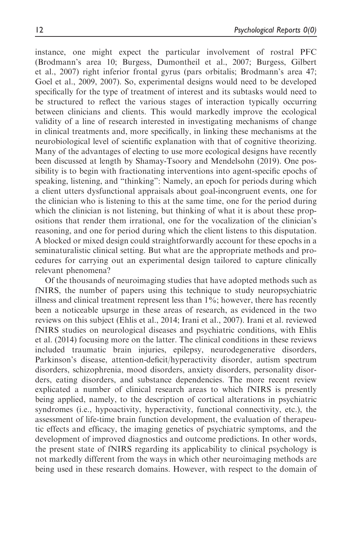instance, one might expect the particular involvement of rostral PFC (Brodmann's area 10; Burgess, Dumontheil et al., 2007; Burgess, Gilbert et al., 2007) right inferior frontal gyrus (pars orbitalis; Brodmann's area 47; Goel et al., 2009, 2007). So, experimental designs would need to be developed specifically for the type of treatment of interest and its subtasks would need to be structured to reflect the various stages of interaction typically occurring between clinicians and clients. This would markedly improve the ecological validity of a line of research interested in investigating mechanisms of change in clinical treatments and, more specifically, in linking these mechanisms at the neurobiological level of scientific explanation with that of cognitive theorizing. Many of the advantages of electing to use more ecological designs have recently been discussed at length by Shamay-Tsoory and Mendelsohn (2019). One possibility is to begin with fractionating interventions into agent-specific epochs of speaking, listening, and "thinking": Namely, an epoch for periods during which a client utters dysfunctional appraisals about goal-incongruent events, one for the clinician who is listening to this at the same time, one for the period during which the clinician is not listening, but thinking of what it is about these propositions that render them irrational, one for the vocalization of the clinician's reasoning, and one for period during which the client listens to this disputation. A blocked or mixed design could straightforwardly account for these epochs in a seminaturalistic clinical setting. But what are the appropriate methods and procedures for carrying out an experimental design tailored to capture clinically relevant phenomena?

Of the thousands of neuroimaging studies that have adopted methods such as fNIRS, the number of papers using this technique to study neuropsychiatric illness and clinical treatment represent less than 1%; however, there has recently been a noticeable upsurge in these areas of research, as evidenced in the two reviews on this subject (Ehlis et al., 2014; Irani et al., 2007). Irani et al. reviewed fNIRS studies on neurological diseases and psychiatric conditions, with Ehlis et al. (2014) focusing more on the latter. The clinical conditions in these reviews included traumatic brain injuries, epilepsy, neurodegenerative disorders, Parkinson's disease, attention-deficit/hyperactivity disorder, autism spectrum disorders, schizophrenia, mood disorders, anxiety disorders, personality disorders, eating disorders, and substance dependencies. The more recent review explicated a number of clinical research areas to which fNIRS is presently being applied, namely, to the description of cortical alterations in psychiatric syndromes (i.e., hypoactivity, hyperactivity, functional connectivity, etc.), the assessment of life-time brain function development, the evaluation of therapeutic effects and efficacy, the imaging genetics of psychiatric symptoms, and the development of improved diagnostics and outcome predictions. In other words, the present state of fNIRS regarding its applicability to clinical psychology is not markedly different from the ways in which other neuroimaging methods are being used in these research domains. However, with respect to the domain of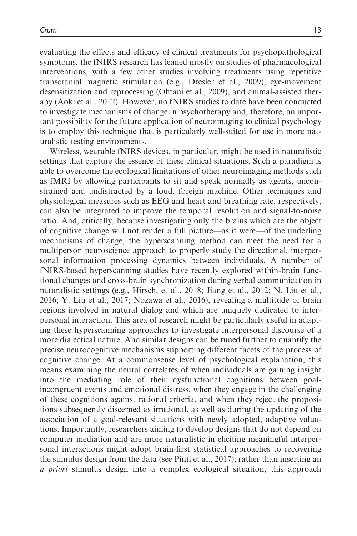evaluating the effects and efficacy of clinical treatments for psychopathological symptoms, the fNIRS research has leaned mostly on studies of pharmacological interventions, with a few other studies involving treatments using repetitive transcranial magnetic stimulation (e.g., Dresler et al., 2009), eye-movement desensitization and reprocessing (Ohtani et al., 2009), and animal-assisted therapy (Aoki et al., 2012). However, no fNIRS studies to date have been conducted to investigate mechanisms of change in psychotherapy and, therefore, an important possibility for the future application of neuroimaging to clinical psychology is to employ this technique that is particularly well-suited for use in more naturalistic testing environments.

Wireless, wearable fNIRS devices, in particular, might be used in naturalistic settings that capture the essence of these clinical situations. Such a paradigm is able to overcome the ecological limitations of other neuroimaging methods such as fMRI by allowing participants to sit and speak normally as agents, unconstrained and undistracted by a loud, foreign machine. Other techniques and physiological measures such as EEG and heart and breathing rate, respectively, can also be integrated to improve the temporal resolution and signal-to-noise ratio. And, critically, because investigating only the brains which are the object of cognitive change will not render a full picture—as it were—of the underling mechanisms of change, the hyperscanning method can meet the need for a multiperson neuroscience approach to properly study the directional, interpersonal information processing dynamics between individuals. A number of fNIRS-based hyperscanning studies have recently explored within-brain functional changes and cross-brain synchronization during verbal communication in naturalistic settings (e.g., Hirsch, et al., 2018; Jiang et al., 2012; N. Liu et al., 2016; Y. Liu et al., 2017; Nozawa et al., 2016), revealing a multitude of brain regions involved in natural dialog and which are uniquely dedicated to interpersonal interaction. This area of research might be particularly useful in adapting these hyperscanning approaches to investigate interpersonal discourse of a more dialectical nature. And similar designs can be tuned further to quantify the precise neurocognitive mechanisms supporting different facets of the process of cognitive change. At a commonsense level of psychological explanation, this means examining the neural correlates of when individuals are gaining insight into the mediating role of their dysfunctional cognitions between goalincongruent events and emotional distress, when they engage in the challenging of these cognitions against rational criteria, and when they reject the propositions subsequently discerned as irrational, as well as during the updating of the association of a goal-relevant situations with newly adopted, adaptive valuations. Importantly, researchers aiming to develop designs that do not depend on computer mediation and are more naturalistic in eliciting meaningful interpersonal interactions might adopt brain-first statistical approaches to recovering the stimulus design from the data (see Pinti et al., 2017); rather than inserting an a priori stimulus design into a complex ecological situation, this approach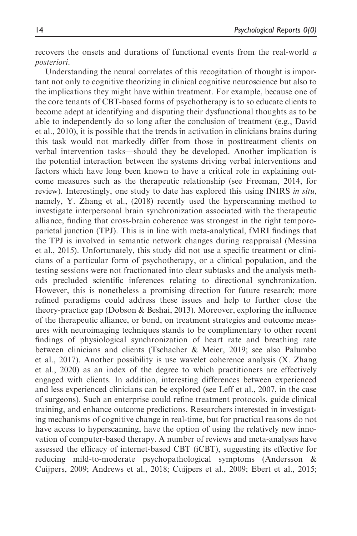recovers the onsets and durations of functional events from the real-world a posteriori.

Understanding the neural correlates of this recogitation of thought is important not only to cognitive theorizing in clinical cognitive neuroscience but also to the implications they might have within treatment. For example, because one of the core tenants of CBT-based forms of psychotherapy is to so educate clients to become adept at identifying and disputing their dysfunctional thoughts as to be able to independently do so long after the conclusion of treatment (e.g., David et al., 2010), it is possible that the trends in activation in clinicians brains during this task would not markedly differ from those in posttreatment clients on verbal intervention tasks—should they be developed. Another implication is the potential interaction between the systems driving verbal interventions and factors which have long been known to have a critical role in explaining outcome measures such as the therapeutic relationship (see Freeman, 2014, for review). Interestingly, one study to date has explored this using fNIRS in situ, namely, Y. Zhang et al., (2018) recently used the hyperscanning method to investigate interpersonal brain synchronization associated with the therapeutic alliance, finding that cross-brain coherence was strongest in the right temporoparietal junction (TPJ). This is in line with meta-analytical, fMRI findings that the TPJ is involved in semantic network changes during reappraisal (Messina et al., 2015). Unfortunately, this study did not use a specific treatment or clinicians of a particular form of psychotherapy, or a clinical population, and the testing sessions were not fractionated into clear subtasks and the analysis methods precluded scientific inferences relating to directional synchronization. However, this is nonetheless a promising direction for future research; more refined paradigms could address these issues and help to further close the theory-practice gap (Dobson & Beshai, 2013). Moreover, exploring the influence of the therapeutic alliance, or bond, on treatment strategies and outcome measures with neuroimaging techniques stands to be complimentary to other recent findings of physiological synchronization of heart rate and breathing rate between clinicians and clients (Tschacher & Meier, 2019; see also Palumbo et al., 2017). Another possibility is use wavelet coherence analysis (X. Zhang et al., 2020) as an index of the degree to which practitioners are effectively engaged with clients. In addition, interesting differences between experienced and less experienced clinicians can be explored (see Leff et al., 2007, in the case of surgeons). Such an enterprise could refine treatment protocols, guide clinical training, and enhance outcome predictions. Researchers interested in investigating mechanisms of cognitive change in real-time, but for practical reasons do not have access to hyperscanning, have the option of using the relatively new innovation of computer-based therapy. A number of reviews and meta-analyses have assessed the efficacy of internet-based CBT (iCBT), suggesting its effective for reducing mild-to-moderate psychopathological symptoms (Andersson & Cuijpers, 2009; Andrews et al., 2018; Cuijpers et al., 2009; Ebert et al., 2015;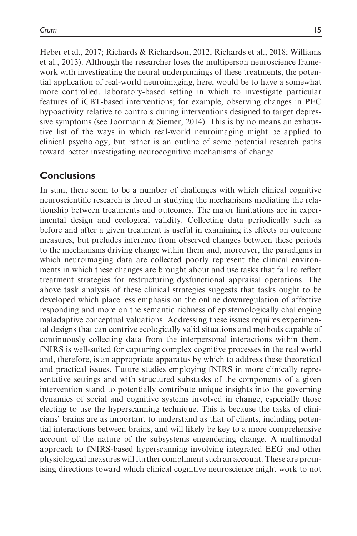Heber et al., 2017; Richards & Richardson, 2012; Richards et al., 2018; Williams et al., 2013). Although the researcher loses the multiperson neuroscience framework with investigating the neural underpinnings of these treatments, the potential application of real-world neuroimaging, here, would be to have a somewhat more controlled, laboratory-based setting in which to investigate particular features of iCBT-based interventions; for example, observing changes in PFC hypoactivity relative to controls during interventions designed to target depressive symptoms (see Joormann & Siemer, 2014). This is by no means an exhaustive list of the ways in which real-world neuroimaging might be applied to clinical psychology, but rather is an outline of some potential research paths toward better investigating neurocognitive mechanisms of change.

# **Conclusions**

In sum, there seem to be a number of challenges with which clinical cognitive neuroscientific research is faced in studying the mechanisms mediating the relationship between treatments and outcomes. The major limitations are in experimental design and ecological validity. Collecting data periodically such as before and after a given treatment is useful in examining its effects on outcome measures, but preludes inference from observed changes between these periods to the mechanisms driving change within them and, moreover, the paradigms in which neuroimaging data are collected poorly represent the clinical environments in which these changes are brought about and use tasks that fail to reflect treatment strategies for restructuring dysfunctional appraisal operations. The above task analysis of these clinical strategies suggests that tasks ought to be developed which place less emphasis on the online downregulation of affective responding and more on the semantic richness of epistemologically challenging maladaptive conceptual valuations. Addressing these issues requires experimental designs that can contrive ecologically valid situations and methods capable of continuously collecting data from the interpersonal interactions within them. fNIRS is well-suited for capturing complex cognitive processes in the real world and, therefore, is an appropriate apparatus by which to address these theoretical and practical issues. Future studies employing fNIRS in more clinically representative settings and with structured substasks of the components of a given intervention stand to potentially contribute unique insights into the governing dynamics of social and cognitive systems involved in change, especially those electing to use the hyperscanning technique. This is because the tasks of clinicians' brains are as important to understand as that of clients, including potential interactions between brains, and will likely be key to a more comprehensive account of the nature of the subsystems engendering change. A multimodal approach to fNIRS-based hyperscanning involving integrated EEG and other physiological measures will further compliment such an account. These are promising directions toward which clinical cognitive neuroscience might work to not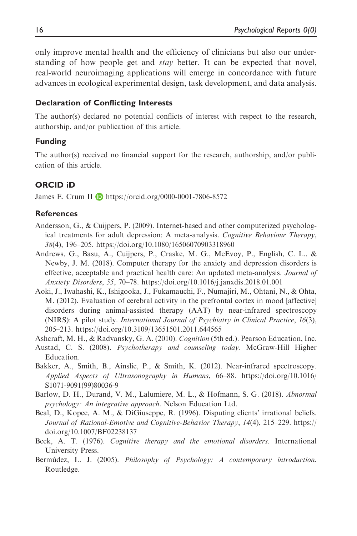only improve mental health and the efficiency of clinicians but also our understanding of how people get and *stay* better. It can be expected that novel, real-world neuroimaging applications will emerge in concordance with future advances in ecological experimental design, task development, and data analysis.

### Declaration of Conflicting Interests

The author(s) declared no potential conflicts of interest with respect to the research, authorship, and/or publication of this article.

#### Funding

The author(s) received no financial support for the research, authorship, and/or publication of this article.

## ORCID iD

James E. Crum II D <https://orcid.org/0000-0001-7806-8572>

#### References

- Andersson, G., & Cuijpers, P. (2009). Internet-based and other computerized psychological treatments for adult depression: A meta-analysis. Cognitive Behaviour Therapy, 38(4), 196–205.<https://doi.org/10.1080/16506070903318960>
- Andrews, G., Basu, A., Cuijpers, P., Craske, M. G., McEvoy, P., English, C. L., & Newby, J. M. (2018). Computer therapy for the anxiety and depression disorders is effective, acceptable and practical health care: An updated meta-analysis. Journal of Anxiety Disorders, 55, 70–78.<https://doi.org/10.1016/j.janxdis.2018.01.001>
- Aoki, J., Iwahashi, K., Ishigooka, J., Fukamauchi, F., Numajiri, M., Ohtani, N., & Ohta, M. (2012). Evaluation of cerebral activity in the prefrontal cortex in mood [affective] disorders during animal-assisted therapy (AAT) by near-infrared spectroscopy (NIRS): A pilot study. International Journal of Psychiatry in Clinical Practice, 16(3), 205–213.<https://doi.org/10.3109/13651501.2011.644565>
- Ashcraft, M. H., & Radvansky, G. A. (2010). Cognition (5th ed.). Pearson Education, Inc.
- Austad, C. S. (2008). Psychotherapy and counseling today. McGraw-Hill Higher Education.
- Bakker, A., Smith, B., Ainslie, P., & Smith, K. (2012). Near-infrared spectroscopy. Applied Aspects of Ultrasonography in Humans, 66–88. [https://doi.org/10.1016/](https://doi.org/10.1016/S1071-9091(99)80036-9) [S1071-9091\(99\)80036-9](https://doi.org/10.1016/S1071-9091(99)80036-9)
- Barlow, D. H., Durand, V. M., Lalumiere, M. L., & Hofmann, S. G. (2018). Abnormal psychology: An integrative approach. Nelson Education Ltd.
- Beal, D., Kopec, A. M., & DiGiuseppe, R. (1996). Disputing clients' irrational beliefs. Journal of Rational-Emotive and Cognitive-Behavior Therapy, 14(4), 215–229. [https://](https://doi.org/10.1007/BF02238137) [doi.org/10.1007/BF02238137](https://doi.org/10.1007/BF02238137)
- Beck, A. T. (1976). Cognitive therapy and the emotional disorders. International University Press.
- Bermúdez, L. J. (2005). Philosophy of Psychology: A contemporary introduction. Routledge.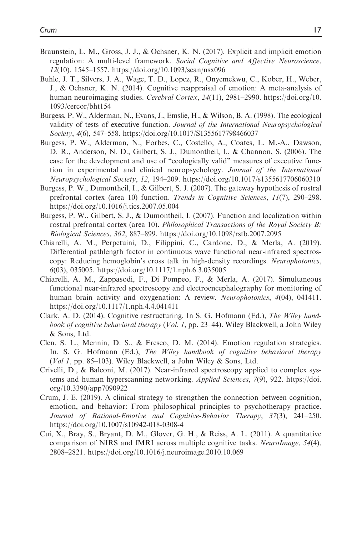- Braunstein, L. M., Gross, J. J., & Ochsner, K. N. (2017). Explicit and implicit emotion regulation: A multi-level framework. Social Cognitive and Affective Neuroscience, 12(10), 1545–1557.<https://doi.org/10.1093/scan/nsx096>
- Buhle, J. T., Silvers, J. A., Wage, T. D., Lopez, R., Onyemekwu, C., Kober, H., Weber, J., & Ochsner, K. N. (2014). Cognitive reappraisal of emotion: A meta-analysis of human neuroimaging studies. Cerebral Cortex, 24(11), 2981–2990. [https://doi.org/10.](https://doi.org/10.1093/cercor/bht154) [1093/cercor/bht154](https://doi.org/10.1093/cercor/bht154)
- Burgess, P. W., Alderman, N., Evans, J., Emslie, H., & Wilson, B. A. (1998). The ecological validity of tests of executive function. Journal of the International Neuropsychological Society, 4(6), 547–558.<https://doi.org/10.1017/S1355617798466037>
- Burgess, P. W., Alderman, N., Forbes, C., Costello, A., Coates, L. M.-A., Dawson, D. R., Anderson, N. D., Gilbert, S. J., Dumontheil, I., & Channon, S. (2006). The case for the development and use of "ecologically valid" measures of executive function in experimental and clinical neuropsychology. Journal of the International Neuropsychological Society, 12, 194–209.<https://doi.org/10.1017/s1355617706060310>
- Burgess, P. W., Dumontheil, I., & Gilbert, S. J. (2007). The gateway hypothesis of rostral prefrontal cortex (area 10) function. Trends in Cognitive Sciences, 11(7), 290-298. <https://doi.org/10.1016/j.tics.2007.05.004>
- Burgess, P. W., Gilbert, S. J., & Dumontheil, I. (2007). Function and localization within rostral prefrontal cortex (area 10). *Philosophical Transactions of the Royal Society B*: Biological Sciences, 362, 887–899.<https://doi.org/10.1098/rstb.2007.2095>
- Chiarelli, A. M., Perpetuini, D., Filippini, C., Cardone, D., & Merla, A. (2019). Differential pathlength factor in continuous wave functional near-infrared spectroscopy: Reducing hemoglobin's cross talk in high-density recordings. Neurophotonics, 6(03), 035005.<https://doi.org/10.1117/1.nph.6.3.035005>
- Chiarelli, A. M., Zappasodi, F., Di Pompeo, F., & Merla, A. (2017). Simultaneous functional near-infrared spectroscopy and electroencephalography for monitoring of human brain activity and oxygenation: A review. *Neurophotonics*, 4(04), 041411. <https://doi.org/10.1117/1.nph.4.4.041411>
- Clark, A. D. (2014). Cognitive restructuring. In S. G. Hofmann (Ed.), The Wiley handbook of cognitive behavioral therapy (Vol. 1, pp. 23–44). Wiley Blackwell, a John Wiley & Sons, Ltd.
- Clen, S. L., Mennin, D. S., & Fresco, D. M. (2014). Emotion regulation strategies. In. S. G. Hofmann (Ed.), The Wiley handbook of cognitive behavioral therapy (Vol 1, pp. 85–103). Wiley Blackwell, a John Wiley & Sons, Ltd.
- Crivelli, D., & Balconi, M. (2017). Near-infrared spectroscopy applied to complex systems and human hyperscanning networking. Applied Sciences, 7(9), 922. [https://doi.](https://doi.org/10.3390/app7090922) [org/10.3390/app7090922](https://doi.org/10.3390/app7090922)
- Crum, J. E. (2019). A clinical strategy to strengthen the connection between cognition, emotion, and behavior: From philosophical principles to psychotherapy practice. Journal of Rational-Emotive and Cognitive-Behavior Therapy, 37(3), 241–250. <https://doi.org/10.1007/s10942-018-0308-4>
- Cui, X., Bray, S., Bryant, D. M., Glover, G. H., & Reiss, A. L. (2011). A quantitative comparison of NIRS and fMRI across multiple cognitive tasks. NeuroImage, 54(4), 2808–2821.<https://doi.org/10.1016/j.neuroimage.2010.10.069>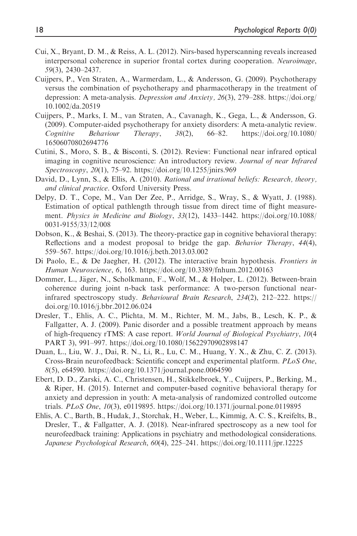- Cui, X., Bryant, D. M., & Reiss, A. L. (2012). Nirs-based hyperscanning reveals increased interpersonal coherence in superior frontal cortex during cooperation. Neuroimage, 59(3), 2430–2437.
- Cuijpers, P., Ven Straten, A., Warmerdam, L., & Andersson, G. (2009). Psychotherapy versus the combination of psychotherapy and pharmacotherapy in the treatment of depression: A meta-analysis. Depression and Anxiety, 26(3), 279–288. https://doi.org/ 10.1002/da.20519
- Cuijpers, P., Marks, I. M., van Straten, A., Cavanagh, K., Gega, L., & Andersson, G. (2009). Computer-aided psychotherapy for anxiety disorders: A meta-analytic review. Cognitive Behaviour Therapy, 38(2), 66–82. [https://doi.org/10.1080/](https://doi.org/10.1080/16506070802694776) [16506070802694776](https://doi.org/10.1080/16506070802694776)
- Cutini, S., Moro, S. B., & Bisconti, S. (2012). Review: Functional near infrared optical imaging in cognitive neuroscience: An introductory review. Journal of near Infrared Spectroscopy, 20(1), 75–92.<https://doi.org/10.1255/jnirs.969>
- David, D., Lynn, S., & Ellis, A. (2010). Rational and irrational beliefs: Research, theory, and clinical practice. Oxford University Press.
- Delpy, D. T., Cope, M., Van Der Zee, P., Arridge, S., Wray, S., & Wyatt, J. (1988). Estimation of optical pathlength through tissue from direct time of flight measurement. Physics in Medicine and Biology, 33(12), 1433-1442. [https://doi.org/10.1088/](https://doi.org/10.1088/0031-9155/33/12/008) [0031-9155/33/12/008](https://doi.org/10.1088/0031-9155/33/12/008)
- Dobson, K., & Beshai, S. (2013). The theory-practice gap in cognitive behavioral therapy: Reflections and a modest proposal to bridge the gap. Behavior Therapy, 44(4), 559–567.<https://doi.org/10.1016/j.beth.2013.03.002>
- Di Paolo, E., & De Jaegher, H. (2012). The interactive brain hypothesis. Frontiers in Human Neuroscience, 6, 163.<https://doi.org/10.3389/fnhum.2012.00163>
- Dommer, L., Jäger, N., Scholkmann, F., Wolf, M., & Holper, L. (2012). Between-brain coherence during joint n-back task performance: A two-person functional nearinfrared spectroscopy study. Behavioural Brain Research, 234(2), 212-222. [https://](https://doi.org/10.1016/j.bbr.2012.06.024) [doi.org/10.1016/j.bbr.2012.06.024](https://doi.org/10.1016/j.bbr.2012.06.024)
- Dresler, T., Ehlis, A. C., Plichta, M. M., Richter, M. M., Jabs, B., Lesch, K. P., & Fallgatter, A. J. (2009). Panic disorder and a possible treatment approach by means of high-frequency rTMS: A case report. World Journal of Biological Psychiatry, 10(4 PART 3), 991–997.<https://doi.org/10.1080/15622970902898147>
- Duan, L., Liu, W. J., Dai, R. N., Li, R., Lu, C. M., Huang, Y. X., & Zhu, C. Z. (2013). Cross-Brain neurofeedback: Scientific concept and experimental platform. PLoS One, 8(5), e64590.<https://doi.org/10.1371/journal.pone.0064590>
- Ebert, D. D., Zarski, A. C., Christensen, H., Stikkelbroek, Y., Cuijpers, P., Berking, M., & Riper, H. (2015). Internet and computer-based cognitive behavioral therapy for anxiety and depression in youth: A meta-analysis of randomized controlled outcome trials. PLoS One, 10(3), e0119895.<https://doi.org/10.1371/journal.pone.0119895>
- Ehlis, A. C., Barth, B., Hudak, J., Storchak, H., Weber, L., Kimmig, A. C. S., Kreifelts, B., Dresler, T., & Fallgatter, A. J. (2018). Near-infrared spectroscopy as a new tool for neurofeedback training: Applications in psychiatry and methodological considerations. Japanese Psychological Research, 60(4), 225–241.<https://doi.org/10.1111/jpr.12225>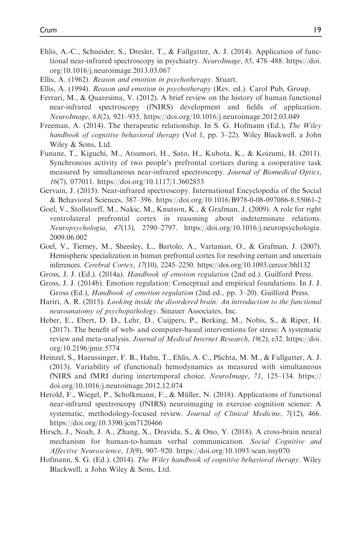- Ehlis, A.-C., Schneider, S., Dresler, T., & Fallgatter, A. J. (2014). Application of functional near-infrared spectroscopy in psychiatry. NeuroImage, 85, 478–488. [https://doi.](https://doi.org/10.1016/j.neuroimage.2013.03.067) [org/10.1016/j.neuroimage.2013.03.067](https://doi.org/10.1016/j.neuroimage.2013.03.067)
- Ellis, A. (1962). Reason and emotion in psychotherapy. Stuart.
- Ellis, A. (1994). Reason and emotion in psychotherapy (Rev. ed.). Carol Pub, Group.
- Ferrari, M., & Quaresima, V. (2012). A brief review on the history of human functional near-infrared spectroscopy (fNIRS) development and fields of application. NeuroImage, 63(2), 921–935.<https://doi.org/10.1016/j.neuroimage.2012.03.049>
- Freeman, A. (2014). The therapeutic relationship. In S. G. Hofmann (Ed.), The Wiley handbook of cognitive behavioral therapy (Vol 1, pp. 3–22). Wiley Blackwell, a John Wiley & Sons, Ltd.
- Funane, T., Kiguchi, M., Atsumori, H., Sato, H., Kubota, K., & Koizumi, H. (2011). Synchronous activity of two people's prefrontal cortices during a cooperative task measured by simultaneous near-infrared spectroscopy. Journal of Biomedical Optics, 16(7), 077011.<https://doi.org/10.1117/1.3602853>
- Gervain, J. (2015). Near-infrared spectroscopy. International Encyclopedia of the Social & Behavioral Sciences, 387–396.<https://doi.org/10.1016/B978-0-08-097086-8.55061-2>
- Goel, V., Stollstorff, M., Nakic, M., Knutson, K., & Grafman, J. (2009). A role for right ventrolateral prefrontal cortex in reasoning about indeterminate relations. Neuropsychologia, 47(13), 2790–2797. [https://doi.org/10.1016/j.neuropsychologia.](https://doi.org/10.1016/j.neuropsychologia.2009.06.002) [2009.06.002](https://doi.org/10.1016/j.neuropsychologia.2009.06.002)
- Goel, V., Tierney, M., Sheesley, L., Bartolo, A., Vartanian, O., & Grafman, J. (2007). Hemispheric specialization in human prefrontal cortex for resolving certain and uncertain inferences. Cerebral Cortex, 17(10), 2245–2250.<https://doi.org/10.1093/cercor/bhl132>
- Gross, J. J. (Ed.). (2014a). Handbook of emotion regulation (2nd ed.). Guilford Press.
- Gross, J. J. (2014b). Emotion regulation: Conceptual and empirical foundations. In J. J. Gross (Ed.), *Handbook of emotion regulation* (2nd ed., pp. 3–20). Guilford Press.
- Hariri, A. R. (2015). Looking inside the disordered brain: An introduction to the functional neuroanatomy of psychopathology. Sinauer Associates, Inc.
- Heber, E., Ebert, D. D., Lehr, D., Cuijpers, P., Berking, M., Nobis, S., & Riper, H. (2017). The benefit of web- and computer-based interventions for stress: A systematic review and meta-analysis. Journal of Medical Internet Research, 19(2), [e32. https://doi.](e32. https://doi.org/10.2196/jmir.5774) [org/10.2196/jmir.5774](e32. https://doi.org/10.2196/jmir.5774)
- Heinzel, S., Haeussinger, F. B., Hahn, T., Ehlis, A. C., Plichta, M. M., & Fallgatter, A. J. (2013). Variability of (functional) hemodynamics as measured with simultaneous fNIRS and fMRI during intertemporal choice. NeuroImage, 71, 125–134. [https://](https://doi.org/10.1016/j.neuroimage.2012.12.074) [doi.org/10.1016/j.neuroimage.2012.12.074](https://doi.org/10.1016/j.neuroimage.2012.12.074)
- Herold, F., Wiegel, P., Scholkmann, F., & Müller, N. (2018). Applications of functional near-infrared spectroscopy (fNIRS) neuroimaging in exercise–cognition science: A systematic, methodology-focused review. Journal of Clinical Medicine, 7(12), 466. <https://doi.org/10.3390/jcm7120466>
- Hirsch, J., Noah, J. A., Zhang, X., Dravida, S., & Ono, Y. (2018). A cross-brain neural mechanism for human-to-human verbal communication. Social Cognitive and Affective Neuroscience, 13(9), 907–920.<https://doi.org/10.1093/scan/nsy070>
- Hofmann, S. G. (Ed.). (2014). The Wiley handbook of cognitive behavioral therapy. Wiley Blackwell, a John Wiley & Sons, Ltd.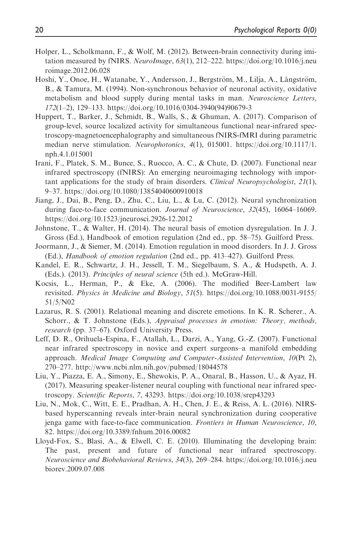- Holper, L., Scholkmann, F., & Wolf, M. (2012). Between-brain connectivity during imitation measured by fNIRS. *NeuroImage*,  $63(1)$ ,  $212-222$ . [https://doi.org/10.1016/j.neu](https://doi.org/10.1016/j.neuroimage.2012.06.028) [roimage.2012.06.028](https://doi.org/10.1016/j.neuroimage.2012.06.028)
- Hoshi, Y., Onoe, H., Watanabe, Y., Andersson, J., Bergström, M., Lilja, A., Långström, B., & Tamura, M. (1994). Non-synchronous behavior of neuronal activity, oxidative metabolism and blood supply during mental tasks in man. Neuroscience Letters, 172(1–2), 129–133. [https://doi.org/10.1016/0304-3940\(94\)90679-3](https://doi.org/10.1016/0304-3940(94)90679-3)
- Huppert, T., Barker, J., Schmidt, B., Walls, S., & Ghuman, A. (2017). Comparison of group-level, source localized activity for simultaneous functional near-infrared spectroscopy-magnetoencephalography and simultaneous fNIRS-fMRI during parametric median nerve stimulation. Neurophotonics, 4(1), 015001. [https://doi.org/10.1117/1.](https://doi.org/10.1117/1.nph.4.1.015001) [nph.4.1.015001](https://doi.org/10.1117/1.nph.4.1.015001)
- Irani, F., Platek, S. M., Bunce, S., Ruocco, A. C., & Chute, D. (2007). Functional near infrared spectroscopy (fNIRS): An emerging neuroimaging technology with important applications for the study of brain disorders. Clinical Neuropsychologist, 21(1), 9–37.<https://doi.org/10.1080/13854040600910018>
- Jiang, J., Dai, B., Peng, D., Zhu, C., Liu, L., & Lu, C. (2012). Neural synchronization during face-to-face communication. Journal of Neuroscience, 32(45), 16064-16069. <https://doi.org/10.1523/jneurosci.2926-12.2012>
- Johnstone, T., & Walter, H. (2014). The neural basis of emotion dysregulation. In J. J. Gross (Ed.), Handbook of emotion regulation (2nd ed., pp. 58–75). Guilford Press.
- Joormann, J., & Siemer, M. (2014). Emotion regulation in mood disorders. In J. J. Gross (Ed.), Handbook of emotion regulation (2nd ed., pp. 413–427). Guilford Press.
- Kandel, E. R., Schwartz, J. H., Jessell, T. M., Siegelbaum, S. A., & Hudspeth, A. J. (Eds.). (2013). Principles of neural science (5th ed.). McGraw-Hill.
- Kocsis, L., Herman, P., & Eke, A. (2006). The modified Beer-Lambert law revisited. Physics in Medicine and Biology, 51(5). [https://doi.org/10.1088/0031-9155/](https://doi.org/10.1088/0031-9155/51/5/N02) [51/5/N02](https://doi.org/10.1088/0031-9155/51/5/N02)
- Lazarus, R. S. (2001). Relational meaning and discrete emotions. In K. R. Scherer., A. Schorr., & T. Johnstone (Eds.), *Appraisal processes in emotion: Theory, methods,* research (pp. 37–67). Oxford University Press.
- Leff, D. R., Orihuela-Espina, F., Atallah, L., Darzi, A., Yang, G.-Z. (2007). Functional near infrared spectroscopy in novice and expert surgeons–a manifold embedding approach. Medical Image Computing and Computer-Assisted Intervention,  $10(Pt\ 2)$ , 270–277.<http://www.ncbi.nlm.nih.gov/pubmed/18044578>
- Liu, Y., Piazza, E. A., Simony, E., Shewokis, P. A., Onaral, B., Hasson, U., & Ayaz, H. (2017). Measuring speaker-listener neural coupling with functional near infrared spectroscopy. Scientific Reports, 7, 43293.<https://doi.org/10.1038/srep43293>
- Liu, N., Mok, C., Witt, E. E., Pradhan, A. H., Chen, J. E., & Reiss, A. L. (2016). NIRSbased hyperscanning reveals inter-brain neural synchronization during cooperative jenga game with face-to-face communication. Frontiers in Human Neuroscience, 10, 82.<https://doi.org/10.3389/fnhum.2016.00082>
- Lloyd-Fox, S., Blasi, A., & Elwell, C. E. (2010). Illuminating the developing brain: The past, present and future of functional near infrared spectroscopy. Neuroscience and Biobehavioral Reviews, 34(3), 269–284. [https://doi.org/10.1016/j.neu](https://doi.org/10.1016/j.neubiorev.2009.07.008) [biorev.2009.07.008](https://doi.org/10.1016/j.neubiorev.2009.07.008)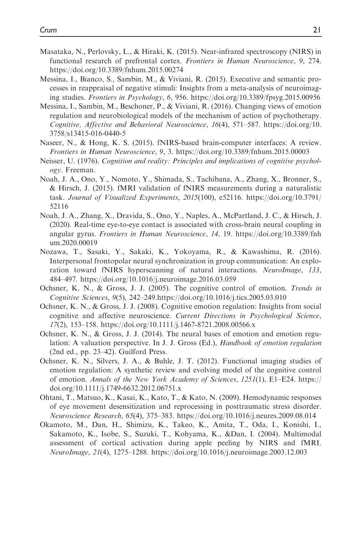- Masataka, N., Perlovsky, L., & Hiraki, K. (2015). Near-infrared spectroscopy (NIRS) in functional research of prefrontal cortex. Frontiers in Human Neuroscience, 9, 274. <https://doi.org/10.3389/fnhum.2015.00274>
- Messina, I., Bianco, S., Sambin, M., & Viviani, R. (2015). Executive and semantic processes in reappraisal of negative stimuli: Insights from a meta-analysis of neuroimaging studies. Frontiers in Psychology, 6, 956.<https://doi.org/10.3389/fpsyg.2015.00956>
- Messina, I., Sambin, M., Beschoner, P., & Viviani, R. (2016). Changing views of emotion regulation and neurobiological models of the mechanism of action of psychotherapy. Cognitive, Affective and Behavioral Neuroscience, 16(4), 571–587. [https://doi.org/10.](https://doi.org/10.3758/s13415-016-0440-5) [3758/s13415-016-0440-5](https://doi.org/10.3758/s13415-016-0440-5)
- Naseer, N., & Hong, K. S. (2015). fNIRS-based brain-computer interfaces: A review. Frontiers in Human Neuroscience, 9, 3.<https://doi.org/10.3389/fnhum.2015.00003>
- Neisser, U. (1976). Cognition and reality: Principles and implications of cognitive psychology. Freeman.
- Noah, J. A., Ono, Y., Nomoto, Y., Shimada, S., Tachibana, A., Zhang, X., Bronner, S., & Hirsch, J. (2015). fMRI validation of fNIRS measurements during a naturalistic task. Journal of Visualized Experiments, 2015(100), e52116. [https://doi.org/10.3791/](https://doi.org/10.3791/52116) [52116](https://doi.org/10.3791/52116)
- Noah, J. A., Zhang, X., Dravida, S., Ono, Y., Naples, A., McPartland, J. C., & Hirsch, J. (2020). Real-time eye-to-eye contact is associated with cross-brain neural coupling in angular gyrus. Frontiers in Human Neuroscience, 14, 19. [https://doi.org/10.3389/fnh](https://doi.org/10.3389/fnhum.2020.00019) [um.2020.00019](https://doi.org/10.3389/fnhum.2020.00019)
- Nozawa, T., Sasaki, Y., Sakaki, K., Yokoyama, R., & Kawashima, R. (2016). Interpersonal frontopolar neural synchronization in group communication: An exploration toward fNIRS hyperscanning of natural interactions. NeuroImage, 133, 484–497.<https://doi.org/10.1016/j.neuroimage.2016.03.059>
- Ochsner, K. N., & Gross, J. J. (2005). The cognitive control of emotion. Trends in Cognitive Sciences, 9(5), 242–249[.https://doi.org/10.1016/j.tics.2005.03.010](https://doi.org/10.1016/j.tics.2005.03.010)
- Ochsner, K. N., & Gross, J. J. (2008). Cognitive emotion regulation: Insights from social cognitive and affective neuroscience. Current Directions in Psychological Science, 17(2), 153–158.<https://doi.org/10.1111/j.1467-8721.2008.00566.x>
- Ochsner, K. N., & Gross, J. J. (2014). The neural bases of emotion and emotion regulation: A valuation perspective. In J. J. Gross (Ed.), Handbook of emotion regulation (2nd ed., pp. 23–42). Guilford Press.
- Ochsner, K. N., Silvers, J. A., & Buhle, J. T. (2012). Functional imaging studies of emotion regulation: A synthetic review and evolving model of the cognitive control of emotion. Annals of the New York Academy of Sciences, 1251(1), E1–E24. [https://](https://doi.org/10.1111/j.1749-6632.2012.06751.x) [doi.org/10.1111/j.1749-6632.2012.06751.x](https://doi.org/10.1111/j.1749-6632.2012.06751.x)
- Ohtani, T., Matsuo, K., Kasai, K., Kato, T., & Kato, N. (2009). Hemodynamic responses of eye movement desensitization and reprocessing in posttraumatic stress disorder. Neuroscience Research, 65(4), 375–383.<https://doi.org/10.1016/j.neures.2009.08.014>
- Okamoto, M., Dan, H., Shimizu, K., Takeo, K., Amita, T., Oda, I., Konishi, I., Sakamoto, K., Isobe, S., Suzuki, T., Kohyama, K., &Dan, I. (2004). Multimodal assessment of cortical activation during apple peeling by NIRS and fMRI. NeuroImage, 21(4), 1275–1288.<https://doi.org/10.1016/j.neuroimage.2003.12.003>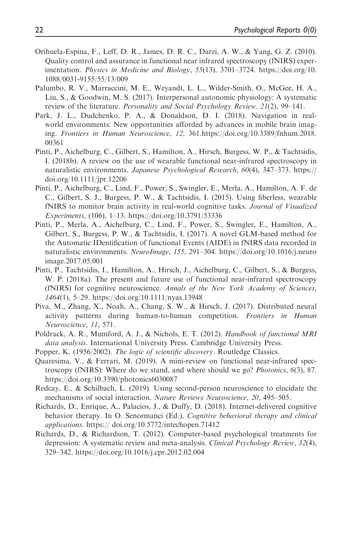- Orihuela-Espina, F., Leff, D. R., James, D. R. C., Darzi, A. W., & Yang, G. Z. (2010). Quality control and assurance in functional near infrared spectroscopy (fNIRS) experimentation. Physics in Medicine and Biology, 55(13), 3701–3724. [https://doi.org/10.](https://doi.org/10.1088/0031-9155/55/13/009) [1088/0031-9155/55/13/009](https://doi.org/10.1088/0031-9155/55/13/009)
- Palumbo, R. V., Marraccini, M. E., Weyandt, L. L., Wilder-Smith, O., McGee, H. A., Liu, S., & Goodwin, M. S. (2017). Interpersonal autonomic physiology: A systematic review of the literature. *Personality and Social Psychology Review, 21*(2), 99–141.
- Park, J. L., Dudchenko, P. A., & Donaldson, D. I. (2018). Navigation in realworld environments: New opportunities afforded by advances in mobile brain imaging. Frontiers in Human Neuroscience, 12, 361[.https://doi.org/10.3389/fnhum.2018.](https://doi.org/10.3389/fnhum.2018.00361) [00361](https://doi.org/10.3389/fnhum.2018.00361)
- Pinti, P., Aichelburg, C., Gilbert, S., Hamilton, A., Hirsch, Burgess, W. P., & Tachtsidis, I. (2018b). A review on the use of wearable functional near-infrared spectroscopy in naturalistic environments. Japanese Psychological Research, 60(4), 347–373. [https://](https://doi.org/10.1111/jpr.12206) [doi.org/10.1111/jpr.12206](https://doi.org/10.1111/jpr.12206)
- Pinti, P., Aichelburg, C., Lind, F., Power, S., Swingler, E., Merla, A., Hamilton, A. F. de C., Gilbert, S. J., Burgess, P. W., & Tachtsidis, I. (2015). Using fiberless, wearable fNIRS to monitor brain activity in real-world cognitive tasks. Journal of Visualized Experiments, (106), 1–13.<https://doi.org/10.3791/53336>
- Pinti, P., Merla, A., Aichelburg, C., Lind, F., Power, S., Swingler, E., Hamilton, A., Gilbert, S., Burgess, P. W., & Tachtsidis, I. (2017). A novel GLM-based method for the Automatic IDentification of functional Events (AIDE) in fNIRS data recorded in naturalistic environments. NeuroImage, 155, 291–304. [https://doi.org/10.1016/j.neuro](https://doi.org/10.1016/j.neuroimage.2017.05.001) [image.2017.05.001](https://doi.org/10.1016/j.neuroimage.2017.05.001)
- Pinti, P., Tachtsidis, I., Hamilton, A., Hirsch, J., Aichelburg, C., Gilbert, S., & Burgess, W. P. (2018a). The present and future use of functional near-infrared spectroscopy (fNIRS) for cognitive neuroscience. Annals of the New York Academy of Sciences, 1464(1), 5–29.<https://doi.org/10.1111/nyas.13948>
- Piva, M., Zhang, X., Noah, A., Chang, S. W., & Hirsch, J. (2017). Distributed neural activity patterns during human-to-human competition. Frontiers in Human Neuroscience, 11, 571.
- Poldrack, A. R., Mumford, A. J., & Nichols, E. T. (2012). Handbook of functional MRI data analysis. International University Press. Cambridge University Press.
- Popper, K. (1956/2002). The logic of scientific discovery. Routledge Classics.
- Quaresima, V., & Ferrari, M. (2019). A mini-review on functional near-infrared spectroscopy (fNIRS): Where do we stand, and where should we go? *Photonics*,  $6(3)$ , 87. <https://doi.org/10.3390/photonics6030087>
- Redcay, E., & Schilbach, L. (2019). Using second-person neuroscience to elucidate the mechanisms of social interaction. Nature Reviews Neuroscience, 20, 495–505.
- Richards, D., Enrique, A., Palacios, J., & Duffy, D. (2018). Internet-delivered cognitive behavior therapy. In O. Senormanci (Ed.), *Cognitive behavioral therapy and clinical* applications.<https://> [doi.org/10.5772/intechopen.71412](http://doi.org/10.5772/intechopen.71412)
- Richards, D., & Richardson, T. (2012). Computer-based psychological treatments for depression: A systematic review and meta-analysis. Clinical Psychology Review, 32(4), 329–342.<https://doi.org/10.1016/j.cpr.2012.02.004>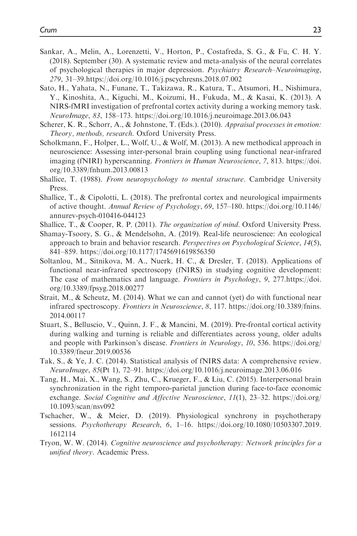- Sankar, A., Melin, A., Lorenzetti, V., Horton, P., Costafreda, S. G., & Fu, C. H. Y. (2018). September (30). A systematic review and meta-analysis of the neural correlates of psychological therapies in major depression. Psychiatry Research–Neuroimaging, 279, 31–39[.https://doi.org/10.1016/j.pscychresns.2018.07.002](https://doi.org/10.1016/j.pscychresns.2018.07.002)
- Sato, H., Yahata, N., Funane, T., Takizawa, R., Katura, T., Atsumori, H., Nishimura, Y., Kinoshita, A., Kiguchi, M., Koizumi, H., Fukuda, M., & Kasai, K. (2013). A NIRS-fMRI investigation of prefrontal cortex activity during a working memory task. NeuroImage, 83, 158–173.<https://doi.org/10.1016/j.neuroimage.2013.06.043>
- Scherer, K. R., Schorr, A., & Johnstone, T. (Eds.). (2010). Appraisal processes in emotion: Theory, methods, research. Oxford University Press.
- Scholkmann, F., Holper, L., Wolf, U., & Wolf, M. (2013). A new methodical approach in neuroscience: Assessing inter-personal brain coupling using functional near-infrared imaging (fNIRI) hyperscanning. Frontiers in Human Neuroscience, 7, 813. [https://doi.](https://doi.org/10.3389/fnhum.2013.00813) [org/10.3389/fnhum.2013.00813](https://doi.org/10.3389/fnhum.2013.00813)
- Shallice, T. (1988). From neuropsychology to mental structure. Cambridge University Press.
- Shallice, T., & Cipolotti, L. (2018). The prefrontal cortex and neurological impairments of active thought. Annual Review of Psychology, 69, 157–180. [https://doi.org/10.1146/](https://doi.org/10.1146/annurev-psych-010416-044123) [annurev-psych-010416-044123](https://doi.org/10.1146/annurev-psych-010416-044123)
- Shallice, T., & Cooper, R. P. (2011). The organization of mind. Oxford University Press.
- Shamay-Tsoory, S. G., & Mendelsohn, A. (2019). Real-life neuroscience: An ecological approach to brain and behavior research. *Perspectives on Psychological Science*, 14(5), 841–859.<https://doi.org/10.1177/1745691619856350>
- Soltanlou, M., Sitnikova, M. A., Nuerk, H. C., & Dresler, T. (2018). Applications of functional near-infrared spectroscopy (fNIRS) in studying cognitive development: The case of mathematics and language. Frontiers in Psychology, 9, 277[.https://doi.](https://doi.org/10.3389/fpsyg.2018.00277) [org/10.3389/fpsyg.2018.00277](https://doi.org/10.3389/fpsyg.2018.00277)
- Strait, M., & Scheutz, M. (2014). What we can and cannot (yet) do with functional near infrared spectroscopy. Frontiers in Neuroscience, 8, 117. [https://doi.org/10.3389/fnins.](https://doi.org/10.3389/fnins.2014.00117) [2014.00117](https://doi.org/10.3389/fnins.2014.00117)
- Stuart, S., Belluscio, V., Quinn, J. F., & Mancini, M. (2019). Pre-frontal cortical activity during walking and turning is reliable and differentiates across young, older adults and people with Parkinson's disease. Frontiers in Neurology, 10, 536. [https://doi.org/](https://doi.org/10.3389/fneur.2019.00536) [10.3389/fneur.2019.00536](https://doi.org/10.3389/fneur.2019.00536)
- Tak, S., & Ye, J. C. (2014). Statistical analysis of fNIRS data: A comprehensive review. NeuroImage, 85(Pt 1), 72–91.<https://doi.org/10.1016/j.neuroimage.2013.06.016>
- Tang, H., Mai, X., Wang, S., Zhu, C., Krueger, F., & Liu, C. (2015). Interpersonal brain synchronization in the right temporo-parietal junction during face-to-face economic exchange. Social Cognitive and Affective Neuroscience, 11(1), 23–32. [https://doi.org/](https://doi.org/10.1093/scan/nsv092) [10.1093/scan/nsv092](https://doi.org/10.1093/scan/nsv092)
- Tschacher, W., & Meier, D. (2019). Physiological synchrony in psychotherapy sessions. *Psychotherapy Research*,  $6$ , 1–16. [https://doi.org/10.1080/10503307.2019.](https://doi.org/10.1080/10503307.2019.1612114) [1612114](https://doi.org/10.1080/10503307.2019.1612114)
- Tryon, W. W. (2014). Cognitive neuroscience and psychotherapy: Network principles for a unified theory. Academic Press.